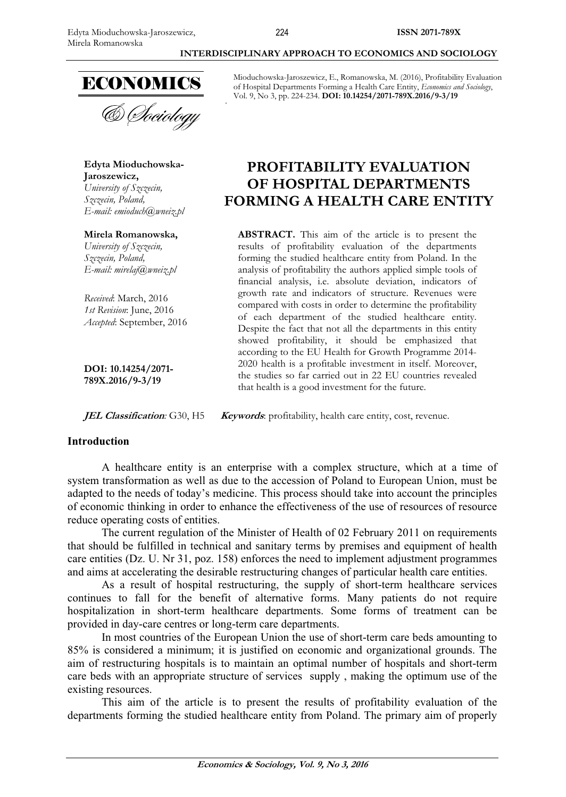

& *Dociology* 

**Edyta Mioduchowska-Jaroszewicz,** *University of Szczecin, Szczecin, Poland, E-mail: emioduch@wneiz.pl* 

**Mirela Romanowska,**  *University of Szczecin, Szczecin, Poland, E-mail: mirelaj@wneiz.pl* 

*Received*: March, 2016 *1st Revision*: June, 2016 *Accepted*: September, 2016

**DOI: 10.14254/2071- 789X.2016/9-3/19**

 **INTERDISCIPLINARY APPROACH TO ECONOMICS AND SOCIOLOGY** 

Mioduchowska-Jaroszewicz, E., Romanowska, M. (2016), Profitability Evaluation of Hospital Departments Forming a Health Care Entity, *Economics and Sociology*, Vol. 9, No 3, pp. 224-234. **DOI: 10.14254/2071-789X.2016/9-3/19** 

# **PROFITABILITY EVALUATION OF HOSPITAL DEPARTMENTS FORMING A HEALTH CARE ENTITY**

**ABSTRACT.** This aim of the article is to present the results of profitability evaluation of the departments forming the studied healthcare entity from Poland. In the analysis of profitability the authors applied simple tools of financial analysis, i.e. absolute deviation, indicators of growth rate and indicators of structure. Revenues were compared with costs in order to determine the profitability of each department of the studied healthcare entity. Despite the fact that not all the departments in this entity showed profitability, it should be emphasized that according to the EU Health for Growth Programme 2014- 2020 health is a profitable investment in itself. Moreover, the studies so far carried out in 22 EU countries revealed that health is a good investment for the future.

**JEL Classification**: G30, H5 **Keywords**: profitability, health care entity, cost, revenue.

### **Introduction**

A healthcare entity is an enterprise with a complex structure, which at a time of system transformation as well as due to the accession of Poland to European Union, must be adapted to the needs of today's medicine. This process should take into account the principles of economic thinking in order to enhance the effectiveness of the use of resources of resource reduce operating costs of entities.

The current regulation of the Minister of Health of 02 February 2011 on requirements that should be fulfilled in technical and sanitary terms by premises and equipment of health care entities (Dz. U. Nr 31, poz. 158) enforces the need to implement adjustment programmes and aims at accelerating the desirable restructuring changes of particular health care entities.

As a result of hospital restructuring, the supply of short-term healthcare services continues to fall for the benefit of alternative forms. Many patients do not require hospitalization in short-term healthcare departments. Some forms of treatment can be provided in day-care centres or long-term care departments.

In most countries of the European Union the use of short-term care beds amounting to 85% is considered a minimum; it is justified on economic and organizational grounds. The aim of restructuring hospitals is to maintain an optimal number of hospitals and short-term care beds with an appropriate structure of services supply , making the optimum use of the existing resources.

This aim of the article is to present the results of profitability evaluation of the departments forming the studied healthcare entity from Poland. The primary aim of properly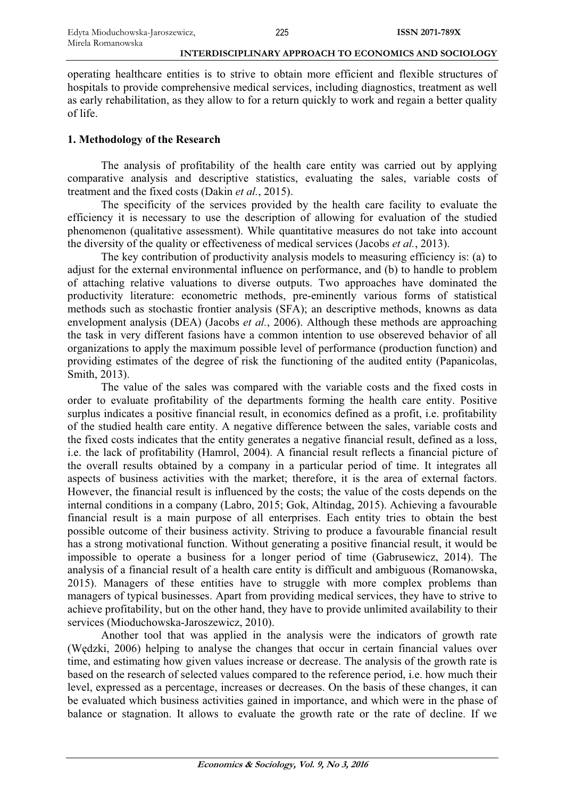operating healthcare entities is to strive to obtain more efficient and flexible structures of hospitals to provide comprehensive medical services, including diagnostics, treatment as well as early rehabilitation, as they allow to for a return quickly to work and regain a better quality of life.

### **1. Methodology of the Research**

The analysis of profitability of the health care entity was carried out by applying comparative analysis and descriptive statistics, evaluating the sales, variable costs of treatment and the fixed costs (Dakin *et al.*, 2015).

The specificity of the services provided by the health care facility to evaluate the efficiency it is necessary to use the description of allowing for evaluation of the studied phenomenon (qualitative assessment). While quantitative measures do not take into account the diversity of the quality or effectiveness of medical services (Jacobs *et al.*, 2013).

The key contribution of productivity analysis models to measuring efficiency is: (a) to adjust for the external environmental influence on performance, and (b) to handle to problem of attaching relative valuations to diverse outputs. Two approaches have dominated the productivity literature: econometric methods, pre-eminently various forms of statistical methods such as stochastic frontier analysis (SFA); an descriptive methods, knowns as data envelopment analysis (DEA) (Jacobs *et al.*, 2006). Although these methods are approaching the task in very different fasions have a common intention to use obsereved behavior of all organizations to apply the maximum possible level of performance (production function) and providing estimates of the degree of risk the functioning of the audited entity (Papanicolas, Smith, 2013).

The value of the sales was compared with the variable costs and the fixed costs in order to evaluate profitability of the departments forming the health care entity. Positive surplus indicates a positive financial result, in economics defined as a profit, i.e. profitability of the studied health care entity. A negative difference between the sales, variable costs and the fixed costs indicates that the entity generates a negative financial result, defined as a loss, i.e. the lack of profitability (Hamrol, 2004). A financial result reflects a financial picture of the overall results obtained by a company in a particular period of time. It integrates all aspects of business activities with the market; therefore, it is the area of external factors. However, the financial result is influenced by the costs; the value of the costs depends on the internal conditions in a company (Labro, 2015; Gok, Altindag, 2015). Achieving a favourable financial result is a main purpose of all enterprises. Each entity tries to obtain the best possible outcome of their business activity. Striving to produce a favourable financial result has a strong motivational function. Without generating a positive financial result, it would be impossible to operate a business for a longer period of time (Gabrusewicz, 2014). The analysis of a financial result of a health care entity is difficult and ambiguous (Romanowska, 2015). Managers of these entities have to struggle with more complex problems than managers of typical businesses. Apart from providing medical services, they have to strive to achieve profitability, but on the other hand, they have to provide unlimited availability to their services (Mioduchowska-Jaroszewicz, 2010).

Another tool that was applied in the analysis were the indicators of growth rate (Wędzki, 2006) helping to analyse the changes that occur in certain financial values over time, and estimating how given values increase or decrease. The analysis of the growth rate is based on the research of selected values compared to the reference period, i.e. how much their level, expressed as a percentage, increases or decreases. On the basis of these changes, it can be evaluated which business activities gained in importance, and which were in the phase of balance or stagnation. It allows to evaluate the growth rate or the rate of decline. If we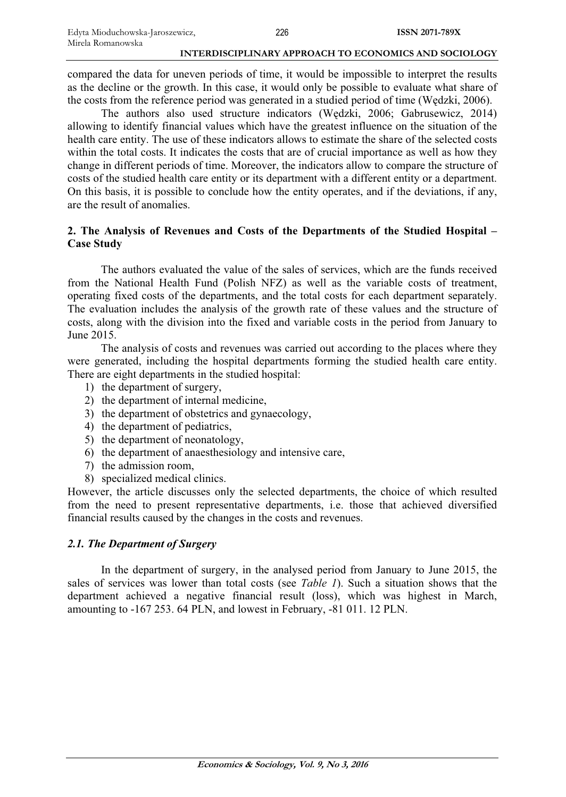compared the data for uneven periods of time, it would be impossible to interpret the results as the decline or the growth. In this case, it would only be possible to evaluate what share of the costs from the reference period was generated in a studied period of time (Wedzki, 2006).

The authors also used structure indicators (Wedzki, 2006; Gabrusewicz, 2014) allowing to identify financial values which have the greatest influence on the situation of the health care entity. The use of these indicators allows to estimate the share of the selected costs within the total costs. It indicates the costs that are of crucial importance as well as how they change in different periods of time. Moreover, the indicators allow to compare the structure of costs of the studied health care entity or its department with a different entity or a department. On this basis, it is possible to conclude how the entity operates, and if the deviations, if any, are the result of anomalies.

# **2. The Analysis of Revenues and Costs of the Departments of the Studied Hospital – Case Study**

The authors evaluated the value of the sales of services, which are the funds received from the National Health Fund (Polish NFZ) as well as the variable costs of treatment, operating fixed costs of the departments, and the total costs for each department separately. The evaluation includes the analysis of the growth rate of these values and the structure of costs, along with the division into the fixed and variable costs in the period from January to June 2015.

The analysis of costs and revenues was carried out according to the places where they were generated, including the hospital departments forming the studied health care entity. There are eight departments in the studied hospital:

- 1) the department of surgery,
- 2) the department of internal medicine,
- 3) the department of obstetrics and gynaecology,
- 4) the department of pediatrics,
- 5) the department of neonatology,
- 6) the department of anaesthesiology and intensive care,
- 7) the admission room,
- 8) specialized medical clinics.

However, the article discusses only the selected departments, the choice of which resulted from the need to present representative departments, i.e. those that achieved diversified financial results caused by the changes in the costs and revenues.

# *2.1. The Department of Surgery*

In the department of surgery, in the analysed period from January to June 2015, the sales of services was lower than total costs (see *Table 1*). Such a situation shows that the department achieved a negative financial result (loss), which was highest in March, amounting to -167 253. 64 PLN, and lowest in February, -81 011. 12 PLN.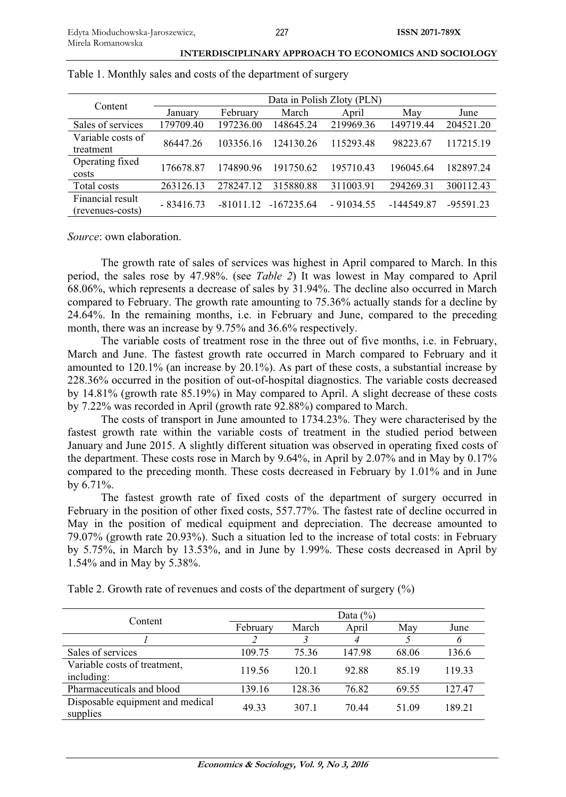| Content           | Data in Polish Zloty (PLN) |             |              |             |            |             |  |  |  |
|-------------------|----------------------------|-------------|--------------|-------------|------------|-------------|--|--|--|
|                   | January                    | February    | March        | April       | May        | June        |  |  |  |
| Sales of services | 179709.40                  | 197236.00   | 148645.24    | 219969.36   | 149719.44  | 204521.20   |  |  |  |
| Variable costs of | 86447.26                   | 103356.16   | 124130.26    | 115293.48   | 98223.67   | 117215.19   |  |  |  |
| treatment         |                            |             |              |             |            |             |  |  |  |
| Operating fixed   | 176678.87                  | 174890.96   | 191750.62    | 195710.43   | 196045.64  | 182897.24   |  |  |  |
| costs             |                            |             |              |             |            |             |  |  |  |
| Total costs       | 263126.13                  | 278247.12   | 315880.88    | 311003.91   | 294269.31  | 300112.43   |  |  |  |
| Financial result  |                            | $-81011.12$ | $-167235.64$ | $-91034.55$ | -144549.87 | $-95591.23$ |  |  |  |
| (revenues-costs)  | $-83416.73$                |             |              |             |            |             |  |  |  |

Table 1. Monthly sales and costs of the department of surgery

*Source*: own elaboration.

The growth rate of sales of services was highest in April compared to March. In this period, the sales rose by 47.98%. (see *Table 2*) It was lowest in May compared to April 68.06%, which represents a decrease of sales by 31.94%. The decline also occurred in March compared to February. The growth rate amounting to 75.36% actually stands for a decline by 24.64%. In the remaining months, i.e. in February and June, compared to the preceding month, there was an increase by 9.75% and 36.6% respectively.

The variable costs of treatment rose in the three out of five months, i.e. in February, March and June. The fastest growth rate occurred in March compared to February and it amounted to 120.1% (an increase by 20.1%). As part of these costs, a substantial increase by 228.36% occurred in the position of out-of-hospital diagnostics. The variable costs decreased by 14.81% (growth rate 85.19%) in May compared to April. A slight decrease of these costs by 7.22% was recorded in April (growth rate 92.88%) compared to March.

The costs of transport in June amounted to 1734.23%. They were characterised by the fastest growth rate within the variable costs of treatment in the studied period between January and June 2015. A slightly different situation was observed in operating fixed costs of the department. These costs rose in March by 9.64%, in April by 2.07% and in May by 0.17% compared to the preceding month. These costs decreased in February by 1.01% and in June by 6.71%.

The fastest growth rate of fixed costs of the department of surgery occurred in February in the position of other fixed costs, 557.77%. The fastest rate of decline occurred in May in the position of medical equipment and depreciation. The decrease amounted to 79.07% (growth rate 20.93%). Such a situation led to the increase of total costs: in February by 5.75%, in March by 13.53%, and in June by 1.99%. These costs decreased in April by 1.54% and in May by 5.38%.

|  |  |  | Table 2. Growth rate of revenues and costs of the department of surgery $(\%)$ |
|--|--|--|--------------------------------------------------------------------------------|
|  |  |  |                                                                                |

|                                              |          | Data $(\% )$ |        |       |        |  |  |  |  |
|----------------------------------------------|----------|--------------|--------|-------|--------|--|--|--|--|
| Content                                      | February | March        | April  | May   | June   |  |  |  |  |
|                                              |          |              |        |       | 6      |  |  |  |  |
| Sales of services                            | 109.75   | 75.36        | 147.98 | 68.06 | 136.6  |  |  |  |  |
| Variable costs of treatment,<br>including:   | 119.56   | 120.1        | 92.88  | 85.19 | 119.33 |  |  |  |  |
| Pharmaceuticals and blood                    | 139.16   | 128.36       | 76.82  | 69.55 | 127.47 |  |  |  |  |
| Disposable equipment and medical<br>supplies | 49.33    | 307.1        | 70.44  | 51.09 | 189.21 |  |  |  |  |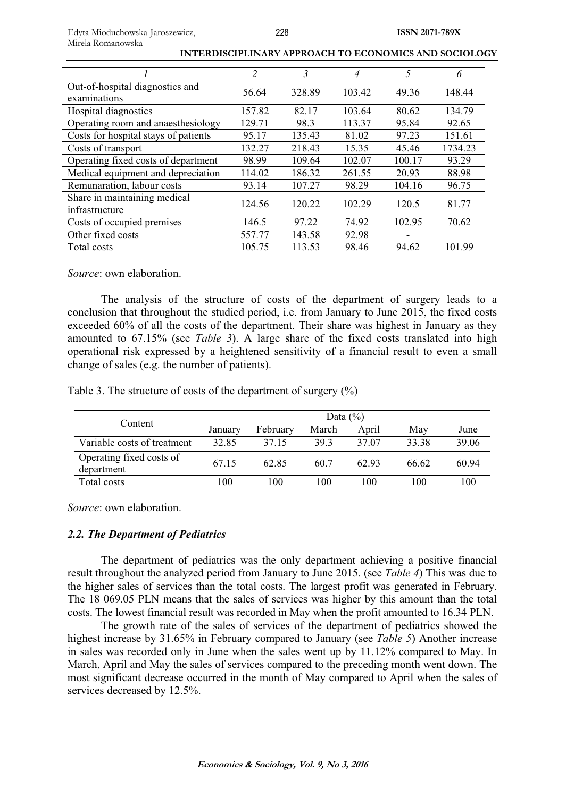|                                                 | 2      | $\overline{\mathbf{3}}$ | 4      | 5      | 6       |
|-------------------------------------------------|--------|-------------------------|--------|--------|---------|
| Out-of-hospital diagnostics and<br>examinations | 56.64  | 328.89                  | 103.42 | 49.36  | 148.44  |
| Hospital diagnostics                            | 157.82 | 82.17                   | 103.64 | 80.62  | 134.79  |
| Operating room and anaesthesiology              | 129.71 | 98.3                    | 113.37 | 95.84  | 92.65   |
| Costs for hospital stays of patients            | 95.17  | 135.43                  | 81.02  | 97.23  | 151.61  |
| Costs of transport                              | 132.27 | 218.43                  | 15.35  | 45.46  | 1734.23 |
| Operating fixed costs of department             | 98.99  | 109.64                  | 102.07 | 100.17 | 93.29   |
| Medical equipment and depreciation              | 114.02 | 186.32                  | 261.55 | 20.93  | 88.98   |
| Remunaration, labour costs                      | 93.14  | 107.27                  | 98.29  | 104.16 | 96.75   |
| Share in maintaining medical<br>infrastructure  | 124.56 | 120.22                  | 102.29 | 120.5  | 81.77   |
| Costs of occupied premises                      | 146.5  | 97.22                   | 74.92  | 102.95 | 70.62   |
| Other fixed costs                               | 557.77 | 143.58                  | 92.98  |        |         |
| Total costs                                     | 105.75 | 113.53                  | 98.46  | 94.62  | 101.99  |

*Source*: own elaboration.

The analysis of the structure of costs of the department of surgery leads to a conclusion that throughout the studied period, i.e. from January to June 2015, the fixed costs exceeded 60% of all the costs of the department. Their share was highest in January as they amounted to 67.15% (see *Table 3*). A large share of the fixed costs translated into high operational risk expressed by a heightened sensitivity of a financial result to even a small change of sales (e.g. the number of patients).

Table 3. The structure of costs of the department of surgery (%)

|                                        | Data $(\% )$ |          |       |       |       |       |  |
|----------------------------------------|--------------|----------|-------|-------|-------|-------|--|
| Content                                | January      | February | March | April | Mav   | June  |  |
| Variable costs of treatment            | 32.85        | 37.15    | 39.3  | 37.07 | 33.38 | 39.06 |  |
| Operating fixed costs of<br>department | 67.15        | 62.85    | 60.7  | 62.93 | 66.62 | 60.94 |  |
| Total costs                            | 100          | 100      | 100   | 100   | 100   | 100   |  |

*Source*: own elaboration.

# *2.2. The Department of Pediatrics*

The department of pediatrics was the only department achieving a positive financial result throughout the analyzed period from January to June 2015. (see *Table 4*) This was due to the higher sales of services than the total costs. The largest profit was generated in February. The 18 069.05 PLN means that the sales of services was higher by this amount than the total costs. The lowest financial result was recorded in May when the profit amounted to 16.34 PLN.

The growth rate of the sales of services of the department of pediatrics showed the highest increase by 31.65% in February compared to January (see *Table 5*) Another increase in sales was recorded only in June when the sales went up by 11.12% compared to May. In March, April and May the sales of services compared to the preceding month went down. The most significant decrease occurred in the month of May compared to April when the sales of services decreased by 12.5%.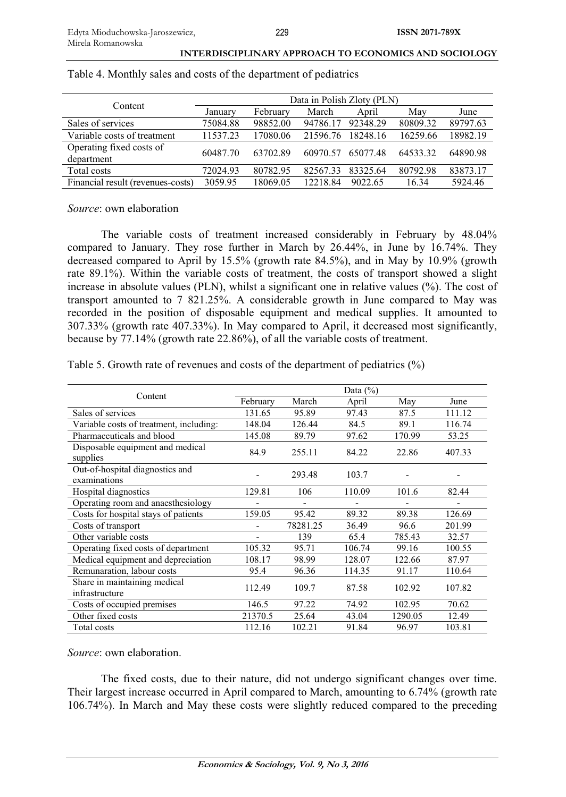|  |  |  |  | INTERDISCIPLINARY APPROACH TO ECONOMICS AND SOCIOLOGY |
|--|--|--|--|-------------------------------------------------------|
|--|--|--|--|-------------------------------------------------------|

| Content                                | Data in Polish Zloty (PLN) |          |          |          |          |          |  |  |
|----------------------------------------|----------------------------|----------|----------|----------|----------|----------|--|--|
|                                        | January                    | February | March    | April    | May      | June     |  |  |
| Sales of services                      | 75084.88                   | 98852.00 | 94786.17 | 92348.29 | 80809.32 | 89797.63 |  |  |
| Variable costs of treatment            | 11537.23                   | 17080.06 | 21596.76 | 18248.16 | 16259.66 | 18982.19 |  |  |
| Operating fixed costs of<br>department | 60487.70                   | 63702.89 | 60970.57 | 65077.48 | 64533.32 | 64890.98 |  |  |
| Total costs                            | 72024.93                   | 80782.95 | 82567.33 | 83325.64 | 80792.98 | 83873.17 |  |  |
| Financial result (revenues-costs)      | 3059.95                    | 18069.05 | 12218.84 | 9022.65  | 16.34    | 5924.46  |  |  |

### Table 4. Monthly sales and costs of the department of pediatrics

*Source*: own elaboration

The variable costs of treatment increased considerably in February by 48.04% compared to January. They rose further in March by 26.44%, in June by 16.74%. They decreased compared to April by 15.5% (growth rate 84.5%), and in May by 10.9% (growth rate 89.1%). Within the variable costs of treatment, the costs of transport showed a slight increase in absolute values (PLN), whilst a significant one in relative values (%). The cost of transport amounted to 7 821.25%. A considerable growth in June compared to May was recorded in the position of disposable equipment and medical supplies. It amounted to 307.33% (growth rate 407.33%). In May compared to April, it decreased most significantly, because by 77.14% (growth rate 22.86%), of all the variable costs of treatment.

Table 5. Growth rate of revenues and costs of the department of pediatrics (%)

|                                                 |          |          | Data $(\%)$ |         |        |
|-------------------------------------------------|----------|----------|-------------|---------|--------|
| Content                                         | February | March    | April       | May     | June   |
| Sales of services                               | 131.65   | 95.89    | 97.43       | 87.5    | 111.12 |
| Variable costs of treatment, including:         | 148.04   | 126.44   | 84.5        | 89.1    | 116.74 |
| Pharmaceuticals and blood                       | 145.08   | 89.79    | 97.62       | 170.99  | 53.25  |
| Disposable equipment and medical<br>supplies    | 84.9     | 255.11   | 84.22       | 22.86   | 407.33 |
| Out-of-hospital diagnostics and<br>examinations |          | 293.48   | 103.7       |         |        |
| Hospital diagnostics                            | 129.81   | 106      | 110.09      | 101.6   | 82.44  |
| Operating room and anaesthesiology              |          |          |             |         |        |
| Costs for hospital stays of patients            | 159.05   | 95.42    | 89.32       | 89.38   | 126.69 |
| Costs of transport                              |          | 78281.25 | 36.49       | 96.6    | 201.99 |
| Other variable costs                            |          | 139      | 65.4        | 785.43  | 32.57  |
| Operating fixed costs of department             | 105.32   | 95.71    | 106.74      | 99.16   | 100.55 |
| Medical equipment and depreciation              | 108.17   | 98.99    | 128.07      | 122.66  | 87.97  |
| Remunaration, labour costs                      | 95.4     | 96.36    | 114.35      | 91.17   | 110.64 |
| Share in maintaining medical<br>infrastructure  | 112.49   | 109.7    | 87.58       | 102.92  | 107.82 |
| Costs of occupied premises                      | 146.5    | 97.22    | 74.92       | 102.95  | 70.62  |
| Other fixed costs                               | 21370.5  | 25.64    | 43.04       | 1290.05 | 12.49  |
| Total costs                                     | 112.16   | 102.21   | 91.84       | 96.97   | 103.81 |

*Source*: own elaboration.

The fixed costs, due to their nature, did not undergo significant changes over time. Their largest increase occurred in April compared to March, amounting to 6.74% (growth rate 106.74%). In March and May these costs were slightly reduced compared to the preceding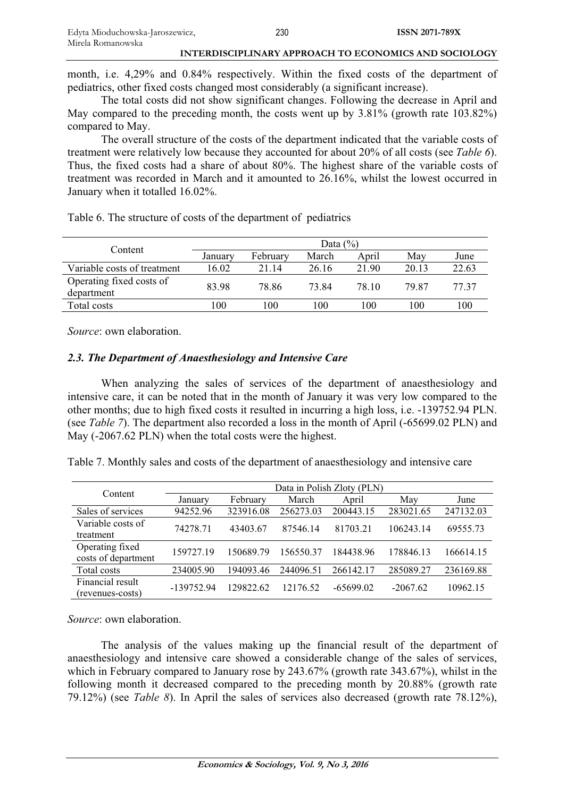month, i.e. 4,29% and 0.84% respectively. Within the fixed costs of the department of pediatrics, other fixed costs changed most considerably (a significant increase).

The total costs did not show significant changes. Following the decrease in April and May compared to the preceding month, the costs went up by 3.81% (growth rate 103.82%) compared to May.

The overall structure of the costs of the department indicated that the variable costs of treatment were relatively low because they accounted for about 20% of all costs (see *Table 6*). Thus, the fixed costs had a share of about 80%. The highest share of the variable costs of treatment was recorded in March and it amounted to 26.16%, whilst the lowest occurred in January when it totalled 16.02%.

Table 6. The structure of costs of the department of pediatrics

| Content                                | Data $(\% )$    |                 |       |       |       |       |  |  |
|----------------------------------------|-----------------|-----------------|-------|-------|-------|-------|--|--|
|                                        | January         | February        | March | April | Mav   | June  |  |  |
| Variable costs of treatment            | 16.02           | 21.14           | 26.16 | 21.90 | 20.13 | 22.63 |  |  |
| Operating fixed costs of<br>department | 83.98           | 78.86           | 73.84 | 78.10 | 79.87 | 77.37 |  |  |
| Total costs                            | 00 <sup>1</sup> | 00 <sup>1</sup> | 100   | 100   | 100   | 100   |  |  |

*Source*: own elaboration.

# *2.3. The Department of Anaesthesiology and Intensive Care*

When analyzing the sales of services of the department of anaesthesiology and intensive care, it can be noted that in the month of January it was very low compared to the other months; due to high fixed costs it resulted in incurring a high loss, i.e. -139752.94 PLN. (see *Table 7*). The department also recorded a loss in the month of April (-65699.02 PLN) and May (-2067.62 PLN) when the total costs were the highest.

Table 7. Monthly sales and costs of the department of anaesthesiology and intensive care

| Content                                | Data in Polish Zloty (PLN) |           |           |             |            |           |  |  |  |
|----------------------------------------|----------------------------|-----------|-----------|-------------|------------|-----------|--|--|--|
|                                        | January                    | February  | March     | April       | May        | June      |  |  |  |
| Sales of services                      | 94252.96                   | 323916.08 | 256273.03 | 200443.15   | 283021.65  | 247132.03 |  |  |  |
| Variable costs of                      | 74278.71                   | 43403.67  | 87546.14  | 81703.21    | 106243.14  | 69555.73  |  |  |  |
| treatment                              |                            |           |           |             |            |           |  |  |  |
| Operating fixed<br>costs of department | 159727.19                  | 150689.79 | 156550.37 | 184438.96   | 178846.13  | 166614.15 |  |  |  |
| Total costs                            | 234005.90                  | 194093.46 | 244096.51 | 266142.17   | 285089.27  | 236169.88 |  |  |  |
| Financial result<br>(revenues-costs)   | -139752.94                 | 129822.62 | 12176.52  | $-65699.02$ | $-2067.62$ | 10962.15  |  |  |  |

*Source*: own elaboration.

The analysis of the values making up the financial result of the department of anaesthesiology and intensive care showed a considerable change of the sales of services, which in February compared to January rose by 243.67% (growth rate 343.67%), whilst in the following month it decreased compared to the preceding month by 20.88% (growth rate 79.12%) (see *Table 8*). In April the sales of services also decreased (growth rate 78.12%),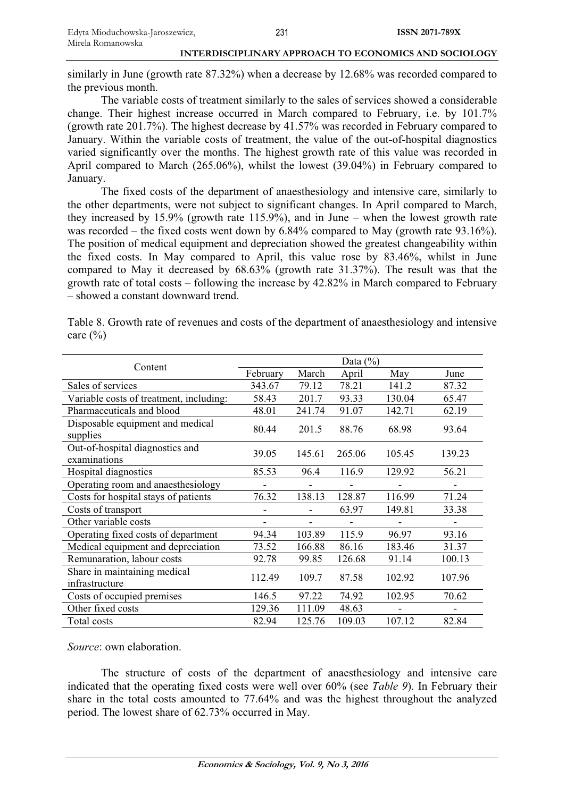similarly in June (growth rate 87.32%) when a decrease by 12.68% was recorded compared to the previous month.

The variable costs of treatment similarly to the sales of services showed a considerable change. Their highest increase occurred in March compared to February, i.e. by 101.7% (growth rate 201.7%). The highest decrease by 41.57% was recorded in February compared to January. Within the variable costs of treatment, the value of the out-of-hospital diagnostics varied significantly over the months. The highest growth rate of this value was recorded in April compared to March (265.06%), whilst the lowest (39.04%) in February compared to January.

The fixed costs of the department of anaesthesiology and intensive care, similarly to the other departments, were not subject to significant changes. In April compared to March, they increased by 15.9% (growth rate 115.9%), and in June – when the lowest growth rate was recorded – the fixed costs went down by 6.84% compared to May (growth rate 93.16%). The position of medical equipment and depreciation showed the greatest changeability within the fixed costs. In May compared to April, this value rose by 83.46%, whilst in June compared to May it decreased by 68.63% (growth rate 31.37%). The result was that the growth rate of total costs – following the increase by 42.82% in March compared to February – showed a constant downward trend.

| Content                                         |                              |                              | Data $(\% )$                 |        |        |
|-------------------------------------------------|------------------------------|------------------------------|------------------------------|--------|--------|
|                                                 | February                     | March                        | April                        | May    | June   |
| Sales of services                               | 343.67                       | 79.12                        | 78.21                        | 141.2  | 87.32  |
| Variable costs of treatment, including:         | 58.43                        | 201.7                        | 93.33                        | 130.04 | 65.47  |
| Pharmaceuticals and blood                       | 48.01                        | 241.74                       | 91.07                        | 142.71 | 62.19  |
| Disposable equipment and medical<br>supplies    | 80.44                        | 201.5                        | 88.76                        | 68.98  | 93.64  |
| Out-of-hospital diagnostics and<br>examinations | 39.05                        | 145.61                       | 265.06                       | 105.45 | 139.23 |
| Hospital diagnostics                            | 85.53                        | 96.4                         | 116.9                        | 129.92 | 56.21  |
| Operating room and anaesthesiology              |                              |                              |                              |        |        |
| Costs for hospital stays of patients            | 76.32                        | 138.13                       | 128.87                       | 116.99 | 71.24  |
| Costs of transport                              |                              |                              | 63.97                        | 149.81 | 33.38  |
| Other variable costs                            | $\qquad \qquad \blacksquare$ | $\qquad \qquad \blacksquare$ | $\qquad \qquad \blacksquare$ |        |        |
| Operating fixed costs of department             | 94.34                        | 103.89                       | 115.9                        | 96.97  | 93.16  |
| Medical equipment and depreciation              | 73.52                        | 166.88                       | 86.16                        | 183.46 | 31.37  |
| Remunaration, labour costs                      | 92.78                        | 99.85                        | 126.68                       | 91.14  | 100.13 |
| Share in maintaining medical<br>infrastructure  | 112.49                       | 109.7                        | 87.58                        | 102.92 | 107.96 |
| Costs of occupied premises                      | 146.5                        | 97.22                        | 74.92                        | 102.95 | 70.62  |
| Other fixed costs                               | 129.36                       | 111.09                       | 48.63                        |        |        |
| Total costs                                     | 82.94                        | 125.76                       | 109.03                       | 107.12 | 82.84  |

Table 8. Growth rate of revenues and costs of the department of anaesthesiology and intensive care  $(\% )$ 

*Source*: own elaboration.

The structure of costs of the department of anaesthesiology and intensive care indicated that the operating fixed costs were well over 60% (see *Table 9*). In February their share in the total costs amounted to 77.64% and was the highest throughout the analyzed period. The lowest share of 62.73% occurred in May.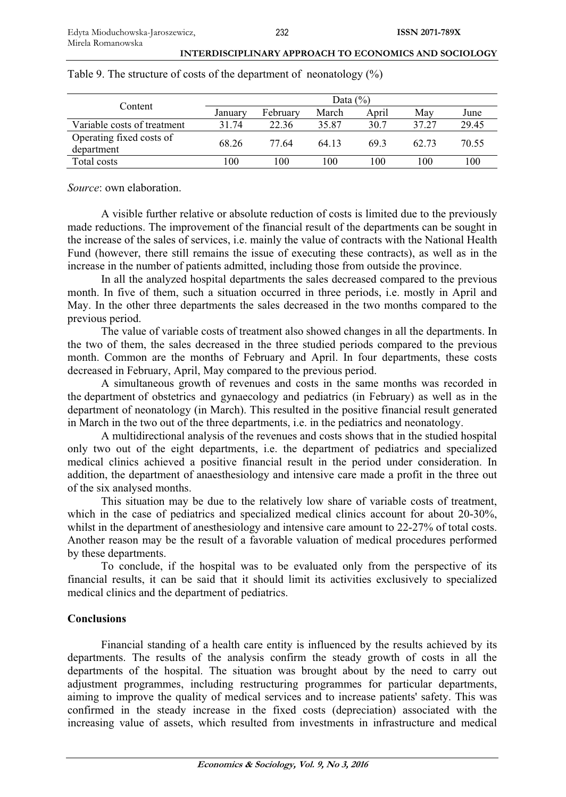| Content                     |         |                 | Data $(\%)$ |       |       |       |
|-----------------------------|---------|-----------------|-------------|-------|-------|-------|
|                             | January | February        | March       | April | Mav   | June  |
| Variable costs of treatment | 31.74   | 22.36           | 35.87       | 30.7  | 37.27 | 29.45 |
| Operating fixed costs of    | 68.26   | 77.64           | 64.13       | 69.3  | 62.73 | 70.55 |
| department                  |         |                 |             |       |       |       |
| Total costs                 | 100     | 00 <sup>1</sup> | 100         | 100   | 100   | 100   |

Table 9. The structure of costs of the department of neonatology (%)

*Source*: own elaboration.

A visible further relative or absolute reduction of costs is limited due to the previously made reductions. The improvement of the financial result of the departments can be sought in the increase of the sales of services, i.e. mainly the value of contracts with the National Health Fund (however, there still remains the issue of executing these contracts), as well as in the increase in the number of patients admitted, including those from outside the province.

In all the analyzed hospital departments the sales decreased compared to the previous month. In five of them, such a situation occurred in three periods, i.e. mostly in April and May. In the other three departments the sales decreased in the two months compared to the previous period.

The value of variable costs of treatment also showed changes in all the departments. In the two of them, the sales decreased in the three studied periods compared to the previous month. Common are the months of February and April. In four departments, these costs decreased in February, April, May compared to the previous period.

A simultaneous growth of revenues and costs in the same months was recorded in the department of obstetrics and gynaecology and pediatrics (in February) as well as in the department of neonatology (in March). This resulted in the positive financial result generated in March in the two out of the three departments, i.e. in the pediatrics and neonatology.

A multidirectional analysis of the revenues and costs shows that in the studied hospital only two out of the eight departments, i.e. the department of pediatrics and specialized medical clinics achieved a positive financial result in the period under consideration. In addition, the department of anaesthesiology and intensive care made a profit in the three out of the six analysed months.

This situation may be due to the relatively low share of variable costs of treatment, which in the case of pediatrics and specialized medical clinics account for about 20-30%, whilst in the department of anesthesiology and intensive care amount to 22-27% of total costs. Another reason may be the result of a favorable valuation of medical procedures performed by these departments.

To conclude, if the hospital was to be evaluated only from the perspective of its financial results, it can be said that it should limit its activities exclusively to specialized medical clinics and the department of pediatrics.

# **Conclusions**

Financial standing of a health care entity is influenced by the results achieved by its departments. The results of the analysis confirm the steady growth of costs in all the departments of the hospital. The situation was brought about by the need to carry out adjustment programmes, including restructuring programmes for particular departments, aiming to improve the quality of medical services and to increase patients' safety. This was confirmed in the steady increase in the fixed costs (depreciation) associated with the increasing value of assets, which resulted from investments in infrastructure and medical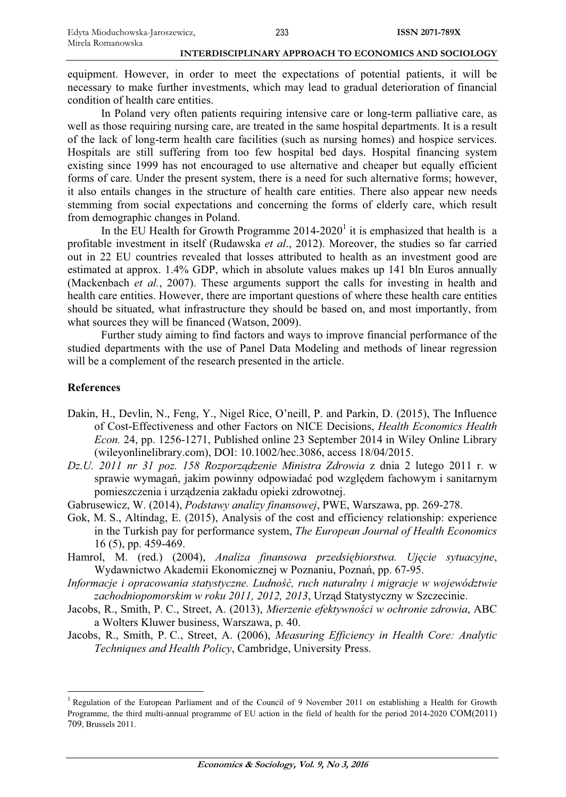equipment. However, in order to meet the expectations of potential patients, it will be necessary to make further investments, which may lead to gradual deterioration of financial condition of health care entities.

In Poland very often patients requiring intensive care or long-term palliative care, as well as those requiring nursing care, are treated in the same hospital departments. It is a result of the lack of long-term health care facilities (such as nursing homes) and hospice services. Hospitals are still suffering from too few hospital bed days. Hospital financing system existing since 1999 has not encouraged to use alternative and cheaper but equally efficient forms of care. Under the present system, there is a need for such alternative forms; however, it also entails changes in the structure of health care entities. There also appear new needs stemming from social expectations and concerning the forms of elderly care, which result from demographic changes in Poland.

In the EU Health for Growth Programme  $2014-2020<sup>1</sup>$  it is emphasized that health is a profitable investment in itself (Rudawska *et al*., 2012). Moreover, the studies so far carried out in 22 EU countries revealed that losses attributed to health as an investment good are estimated at approx. 1.4% GDP, which in absolute values makes up 141 bln Euros annually (Mackenbach *et al.*, 2007). These arguments support the calls for investing in health and health care entities. However, there are important questions of where these health care entities should be situated, what infrastructure they should be based on, and most importantly, from what sources they will be financed (Watson, 2009).

Further study aiming to find factors and ways to improve financial performance of the studied departments with the use of Panel Data Modeling and methods of linear regression will be a complement of the research presented in the article.

#### **References**

- Dakin, H., Devlin, N., Feng, Y., Nigel Rice, O'neill, P. and Parkin, D. (2015), The Influence of Cost-Effectiveness and other Factors on NICE Decisions, *Health Economics Health Econ.* 24, pp. 1256-1271, Published online 23 September 2014 in Wiley Online Library (wileyonlinelibrary.com), DOI: 10.1002/hec.3086, access 18/04/2015.
- *Dz.U. 2011 nr 31 poz. 158 Rozporządzenie Ministra Zdrowia* z dnia 2 lutego 2011 r. w sprawie wymagań, jakim powinny odpowiadać pod względem fachowym i sanitarnym pomieszczenia i urządzenia zakładu opieki zdrowotnej.
- Gabrusewicz, W. (2014), *Podstawy analizy finansowej*, PWE, Warszawa, pp. 269-278.
- Gok, M. S., Altindag, E. (2015), Analysis of the cost and efficiency relationship: experience in the Turkish pay for performance system, *The European Journal of Health Economics* 16 (5), pp. 459-469.
- Hamrol, M. (red.) (2004), *Analiza finansowa przedsiębiorstwa. Ujęcie sytuacyjne*, Wydawnictwo Akademii Ekonomicznej w Poznaniu, Poznań, pp. 67-95.
- *Informacje i opracowania statystyczne. LudnoĞü, ruch naturalny i migracje w województwie zachodniopomorskim w roku 2011, 2012, 2013*, Urząd Statystyczny w Szczecinie.
- Jacobs, R., Smith, P. C., Street, A. (2013), *Mierzenie efektywnoĞci w ochronie zdrowia*, ABC a Wolters Kluwer business, Warszawa, p. 40.
- Jacobs, R., Smith, P. C., Street, A. (2006), *Measuring Efficiency in Health Core: Analytic Techniques and Health Policy*, Cambridge, University Press.

<sup>&</sup>lt;sup>1</sup> Regulation of the European Parliament and of the Council of 9 November 2011 on establishing a Health for Growth Programme, the third multi-annual programme of EU action in the field of health for the period 2014-2020 COM(2011) 709, Brussels 2011.